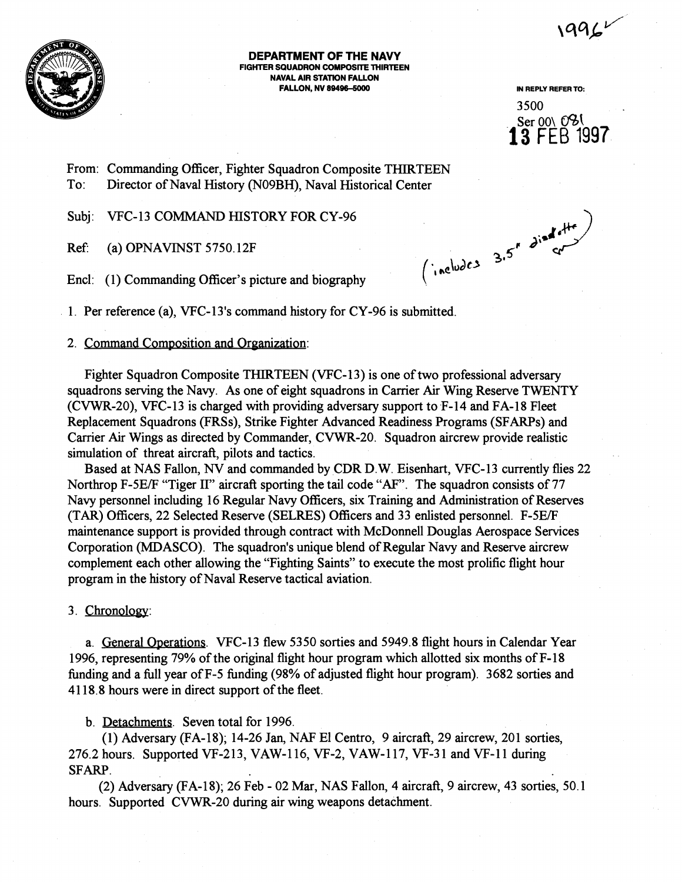$1996$ 



**DEPARTMENT OF THE NAVY FIGHTER SQUADRON COMPOSITE THIRTEEN NAVAL AIR STATION FALLON FALLON, NV 89496-5000 IN REPLY REFER TO:** 

3500 Ser 00\ 0<sup>0</sup>% **13 FEB** 1997

From: Commanding Officer, Fighter Squadron Composite THIRTEEN To: Director of Naval History (N09BH), Naval Historical Center

Subj: VFC-13 COMMAND HISTORY FOR CY-96

**J;'** Ref (a) OPNAWNST 5750.12F **35'**  Encl: (1) Commanding Officer's picture and biography

1. Per reference (a), VFC-13's command history for CY-96 is submitted.

## 2. Command Composition and Organization:

Fighter Squadron Composite THIRTEEN (VFC-13) is one of two professional adversary squadrons serving the Navy. As one of eight squadrons in Carrier Air Wing Reserve TWENTY (CVWR-20), VFC-13 is charged with providing adversary support to F-14 and FA-18 Fleet Replacement Squadrons (FRSs), Strike Fighter Advanced Readiness Programs (SFARPs) and Carrier Air Wings as directed by Commander, CVWR-20. Squadron aircrew provide realistic simulation of threat aircraft, pilots and tactics.

Based at NAS Fallon, **NV** and commanded by CDR D. W. Eisenhart, VFC- 13 currently flies 22 Northrop F-5E/F "Tiger II" aircraft sporting the tail code **"AF".** The squadron consists of 77 Navy personnel including 16 Regular Navy Officers, six Training and Administration of Reserves (TAR) Officers, 22 Selected Reserve (SELRES) Officers and 33 enlisted personnel. F-5E/F maintenance support is provided through contract with McDonnell Douglas Aerospace Services Corporation (MDASCO). The squadron's unique blend of Regular Navy and Reserve aircrew complement each other allowing the "Fighting Saints" to execute the most prolific flight hour program in the history of Naval Reserve tactical aviation.

# 3. Chronolow:

a. General Operations. VFC-13 flew 5350 sorties and 5949.8 flight hours in Calendar Year 1996, representing 79% of the original flight hour program which allotted six months of F- 18 funding and a full year of F-5 hnding (98% of adjusted flight hour program). 3682 sorties and 4118.8 hours were in direct support of the fleet.

b. Detachments. Seven total for 1996.

(1) Adversary (FA-18); 14-26 Jan, NAF El Centro,  $9$  aircraft, 29 aircrew, 201 sorties, 276.2 hours. Supported VF-213, VAW-116, VF-2, VAW-117, VF-31 and VF-11 during SFARP.

(2) Adversary (FA-18); 26 Feb - 02 Mar, NAS Fallon, 4 aircraft, 9 aircrew, 43 sorties, 50.1 hours. Supported CVWR-20 during air wing weapons detachment.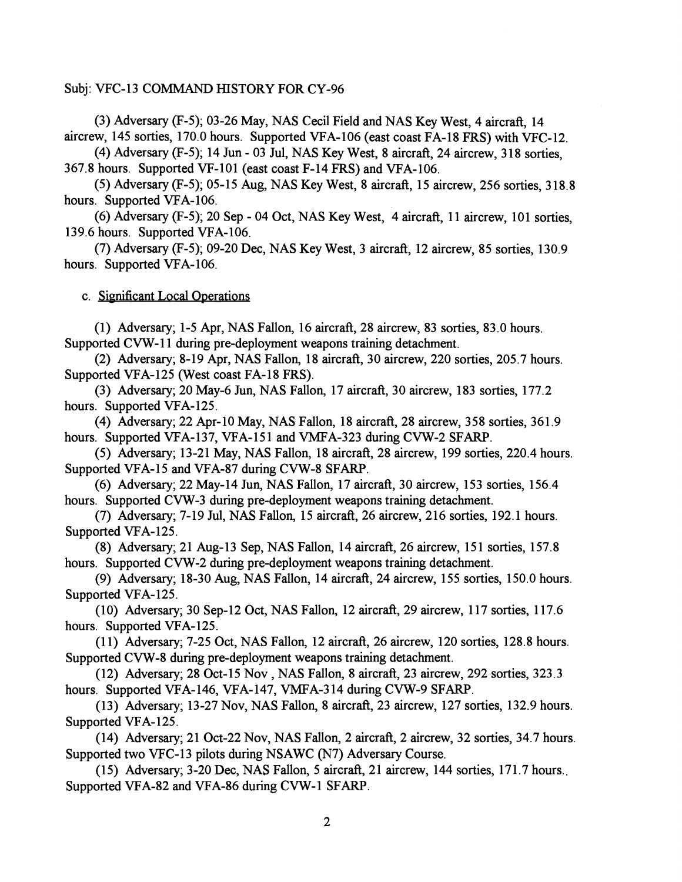### Subj: VFC-13 COMMAND HISTORY FOR CY-96

(3) Adversary (F-5); 03-26 May, NAS Cecil Field and NAS Key West, 4 aircraft, 14 aircrew, 145 sorties, 170.0 hours. Supported VFA- 106 (east coast FA- 18 FRS) with VFC- 12.

(4) Adversary (F-5); 14 Jun - 03 Jul, NAS Key West, 8 aircraft, 24 aircrew, 3 18 sorties, 367.8 hours. Supported VF-10 1 (east coast F-14 FRS) and VFA-106.

 $(5)$  Adversary  $(F-5)$ ; 05-15 Aug, NAS Key West, 8 aircraft, 15 aircrew, 256 sorties, 318.8 hours. Supported VFA-106.

(6) Adversary  $(F-5)$ ; 20 Sep - 04 Oct, NAS Key West, 4 aircraft, 11 aircrew, 101 sorties, 139.6 hours. Supported VFA-106.

(7) Adversary **(F-5);** 09-20 Dec, NAS Key West, 3 aircraft, 12 aircrew, 85 sorties, 130.9 hours. Supported VFA-106.

c. Significant Local Operations

(1) Adversary; 1-5 Apr, NAS Fallon, 16 aircraft, 28 aircrew, 83 sorties, 83.0 hours. Supported CVW-11 during pre-deployment weapons training detachment.

(2) Adversary; 8-19 Apr, NAS Fallon, 18 aircraft, 30 aircrew, 220 sorties, 205.7 hours, Supported VFA-125 (West coast FA-18 FRS).

(3) Adversary; 20 May-6 Jun, NAS Fallon, 17 aircraft, 30 aircrew, 183 sorties, 177.2 hours. Supported VFA-125.

(4) Adversary; 22 Apr-10 May, NAS Fallon, 18 aircraft, 28 aircrew, 358 sorties, 361.9 hours. Supported VFA-137, VFA-151 and VMFA-323 during CVW-2 SFARP.

(5) Adversary; 13-21 May, NAS Fallon, 18 aircraft, 28 aircrew, 199 sorties, 220.4 hours. Supported VFA-15 and VFA-87 during CVW-8 SFARP.

(6) Adversary; 22 May-14 Jun, NAS Fallon, 17 aircraft, 30 aircrew, 153 sorties, 156.4 hours. Supported CVW-3 during pre-deployment weapons training detachment.

(7) Adversary; 7-19 Jul, NAS Fallon, 15 aircraft, 26 aircrew, 216 sorties, 192.1 hours. Supported VFA-125.

(8) Adversary; 21 Aug-13 Sep, NAS Fallon, 14 aircraft, 26 aircrew, 15 1 sorties, 157.8 hours. Supported CVW-2 during pre-deployment weapons training detachment.

(9) Adversary; 18-30 Aug, NAS Fallon, 14 aircraft, 24 aircrew, 155 sorties, 150.0 hours. Supported VFA-125.

(10) Adversary; 30 Sep-12 Oct, NAS Fallon, 12 aircraft, 29 aircrew, 117 sorties, 117.6 hours. Supported VFA-125.

(1 1) Adversary; 7-25 Oct, NAS Fallon, 12 aircraft, 26 aircrew, 120 sorties, 128.8 hours. Supported CVW-8 during pre-deployment weapons training detachment.

(12) Adversary; 28 Oct-15 Nov , NAS Fallon, 8 aircraft, 23 aircrew, 292 sorties, 323.3 hours. Supported VFA-146, VFA-147, VMFA-3 14 during CVW-9 SFARP.

(13) Adversary; 13-27 Nov, NAS Fallon, 8 aircraft, 23 aircrew, 127 sorties, 132.9 hours. Supported VFA-125.

(14) Adversary; 21 Oct-22 Nov, NAS Fallon, 2 aircraft, 2 aircrew, 32 sorties, 34.7 hours. Supported two VFC-13 pilots during NSAWC **(N7)** Adversary Course.

(15) Adversary; 3-20 Dec, NAS Fallon, 5 aircraft, 21 aircrew, 144 sorties, 171.7 hours... Supported VFA-82 and VFA-86 during CVW-1 SFARP.